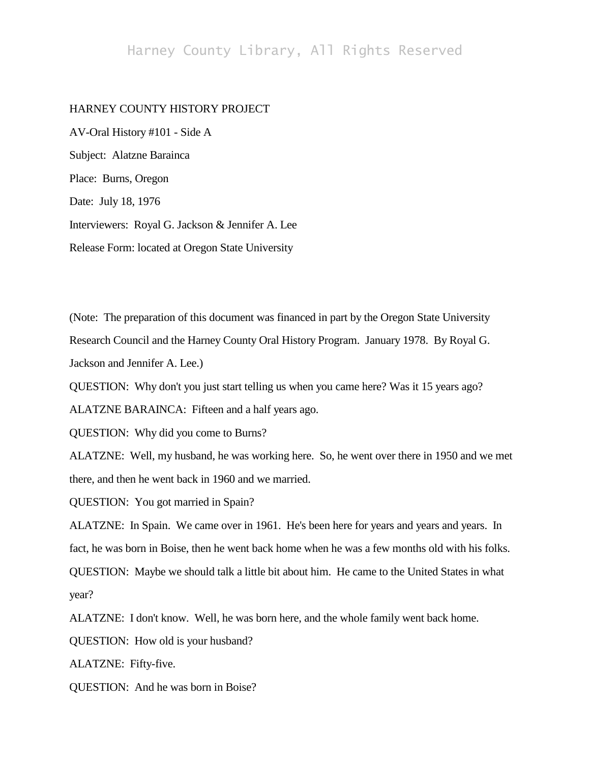## Harney County Library, All Rights Reserved

## HARNEY COUNTY HISTORY PROJECT

AV-Oral History #101 - Side A Subject: Alatzne Barainca Place: Burns, Oregon Date: July 18, 1976 Interviewers: Royal G. Jackson & Jennifer A. Lee Release Form: located at Oregon State University

(Note: The preparation of this document was financed in part by the Oregon State University Research Council and the Harney County Oral History Program. January 1978. By Royal G. Jackson and Jennifer A. Lee.)

QUESTION: Why don't you just start telling us when you came here? Was it 15 years ago?

ALATZNE BARAINCA: Fifteen and a half years ago.

QUESTION: Why did you come to Burns?

ALATZNE: Well, my husband, he was working here. So, he went over there in 1950 and we met there, and then he went back in 1960 and we married.

QUESTION: You got married in Spain?

ALATZNE: In Spain. We came over in 1961. He's been here for years and years and years. In fact, he was born in Boise, then he went back home when he was a few months old with his folks. QUESTION: Maybe we should talk a little bit about him. He came to the United States in what year?

ALATZNE: I don't know. Well, he was born here, and the whole family went back home.

QUESTION: How old is your husband?

ALATZNE: Fifty-five.

QUESTION: And he was born in Boise?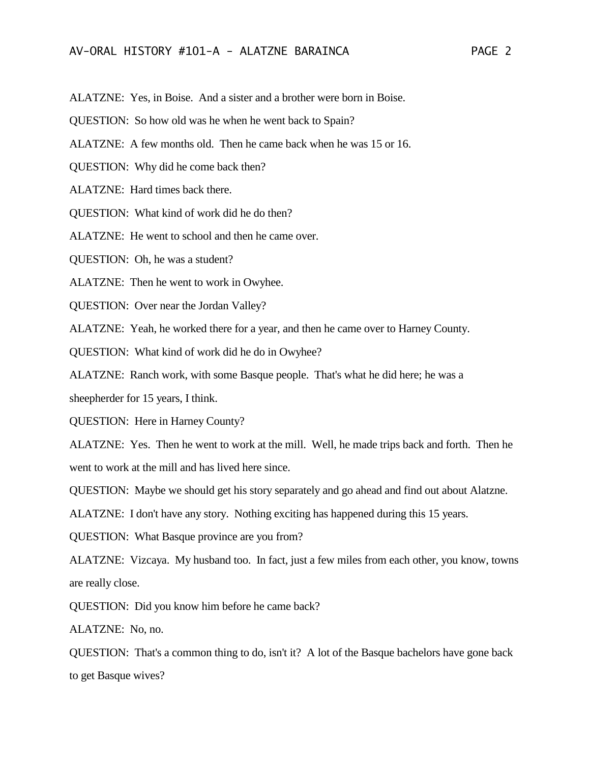## AV-ORAL HISTORY #101-A - ALATZNE BARAINCA PAGE 2

- ALATZNE: Yes, in Boise. And a sister and a brother were born in Boise.
- QUESTION: So how old was he when he went back to Spain?
- ALATZNE: A few months old. Then he came back when he was 15 or 16.
- QUESTION: Why did he come back then?
- ALATZNE: Hard times back there.
- QUESTION: What kind of work did he do then?
- ALATZNE: He went to school and then he came over.
- QUESTION: Oh, he was a student?
- ALATZNE: Then he went to work in Owyhee.
- QUESTION: Over near the Jordan Valley?
- ALATZNE: Yeah, he worked there for a year, and then he came over to Harney County.
- QUESTION: What kind of work did he do in Owyhee?
- ALATZNE: Ranch work, with some Basque people. That's what he did here; he was a
- sheepherder for 15 years, I think.
- QUESTION: Here in Harney County?
- ALATZNE: Yes. Then he went to work at the mill. Well, he made trips back and forth. Then he went to work at the mill and has lived here since.
- QUESTION: Maybe we should get his story separately and go ahead and find out about Alatzne.
- ALATZNE: I don't have any story. Nothing exciting has happened during this 15 years.
- QUESTION: What Basque province are you from?
- ALATZNE: Vizcaya. My husband too. In fact, just a few miles from each other, you know, towns are really close.
- QUESTION: Did you know him before he came back?
- ALATZNE: No, no.
- QUESTION: That's a common thing to do, isn't it? A lot of the Basque bachelors have gone back to get Basque wives?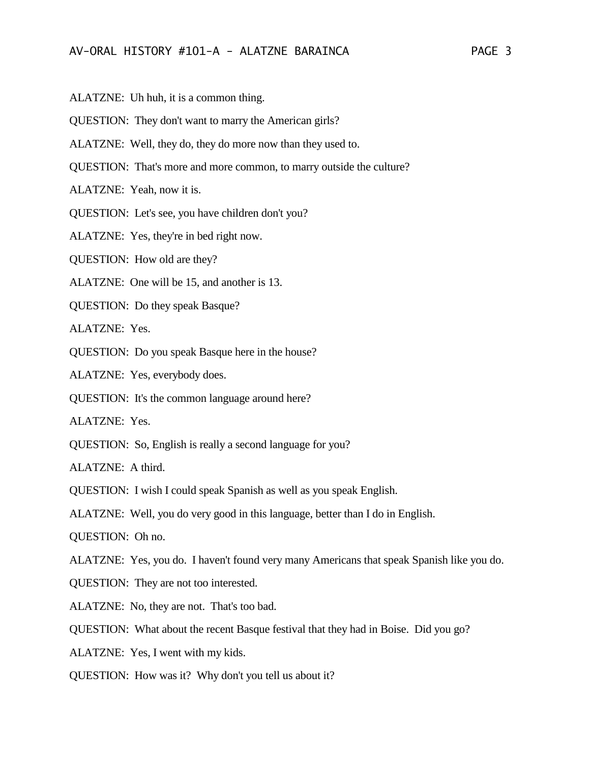- ALATZNE: Uh huh, it is a common thing.
- QUESTION: They don't want to marry the American girls?
- ALATZNE: Well, they do, they do more now than they used to.
- QUESTION: That's more and more common, to marry outside the culture?
- ALATZNE: Yeah, now it is.
- QUESTION: Let's see, you have children don't you?
- ALATZNE: Yes, they're in bed right now.
- QUESTION: How old are they?
- ALATZNE: One will be 15, and another is 13.
- QUESTION: Do they speak Basque?
- ALATZNE: Yes.
- QUESTION: Do you speak Basque here in the house?
- ALATZNE: Yes, everybody does.
- QUESTION: It's the common language around here?
- ALATZNE: Yes.
- QUESTION: So, English is really a second language for you?
- ALATZNE: A third.
- QUESTION: I wish I could speak Spanish as well as you speak English.
- ALATZNE: Well, you do very good in this language, better than I do in English.
- QUESTION: Oh no.
- ALATZNE: Yes, you do. I haven't found very many Americans that speak Spanish like you do.
- QUESTION: They are not too interested.
- ALATZNE: No, they are not. That's too bad.
- QUESTION: What about the recent Basque festival that they had in Boise. Did you go?
- ALATZNE: Yes, I went with my kids.
- QUESTION: How was it? Why don't you tell us about it?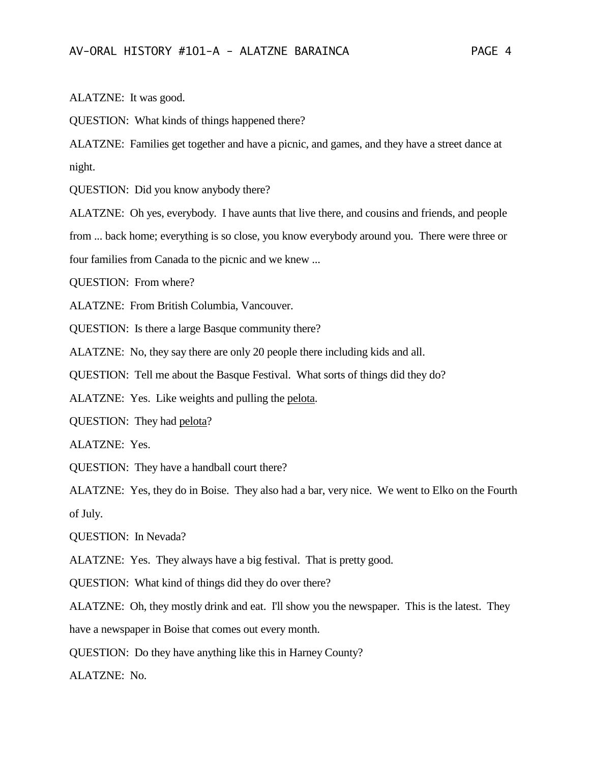ALATZNE: It was good.

QUESTION: What kinds of things happened there?

ALATZNE: Families get together and have a picnic, and games, and they have a street dance at night.

QUESTION: Did you know anybody there?

ALATZNE: Oh yes, everybody. I have aunts that live there, and cousins and friends, and people from ... back home; everything is so close, you know everybody around you. There were three or four families from Canada to the picnic and we knew ...

QUESTION: From where?

ALATZNE: From British Columbia, Vancouver.

QUESTION: Is there a large Basque community there?

ALATZNE: No, they say there are only 20 people there including kids and all.

QUESTION: Tell me about the Basque Festival. What sorts of things did they do?

ALATZNE: Yes. Like weights and pulling the pelota.

QUESTION: They had pelota?

ALATZNE: Yes.

QUESTION: They have a handball court there?

ALATZNE: Yes, they do in Boise. They also had a bar, very nice. We went to Elko on the Fourth of July.

QUESTION: In Nevada?

ALATZNE: Yes. They always have a big festival. That is pretty good.

QUESTION: What kind of things did they do over there?

ALATZNE: Oh, they mostly drink and eat. I'll show you the newspaper. This is the latest. They have a newspaper in Boise that comes out every month.

QUESTION: Do they have anything like this in Harney County?

ALATZNE: No.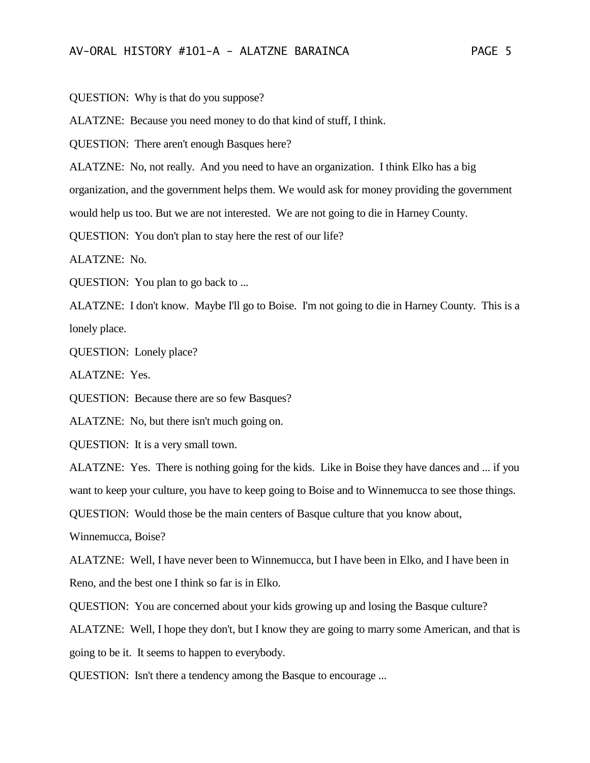QUESTION: Why is that do you suppose?

ALATZNE: Because you need money to do that kind of stuff, I think.

QUESTION: There aren't enough Basques here?

ALATZNE: No, not really. And you need to have an organization. I think Elko has a big

organization, and the government helps them. We would ask for money providing the government

would help us too. But we are not interested. We are not going to die in Harney County.

QUESTION: You don't plan to stay here the rest of our life?

ALATZNE: No.

QUESTION: You plan to go back to ...

ALATZNE: I don't know. Maybe I'll go to Boise. I'm not going to die in Harney County. This is a lonely place.

QUESTION: Lonely place?

ALATZNE: Yes.

QUESTION: Because there are so few Basques?

ALATZNE: No, but there isn't much going on.

QUESTION: It is a very small town.

ALATZNE: Yes. There is nothing going for the kids. Like in Boise they have dances and ... if you want to keep your culture, you have to keep going to Boise and to Winnemucca to see those things.

QUESTION: Would those be the main centers of Basque culture that you know about,

Winnemucca, Boise?

ALATZNE: Well, I have never been to Winnemucca, but I have been in Elko, and I have been in Reno, and the best one I think so far is in Elko.

QUESTION: You are concerned about your kids growing up and losing the Basque culture?

ALATZNE: Well, I hope they don't, but I know they are going to marry some American, and that is going to be it. It seems to happen to everybody.

QUESTION: Isn't there a tendency among the Basque to encourage ...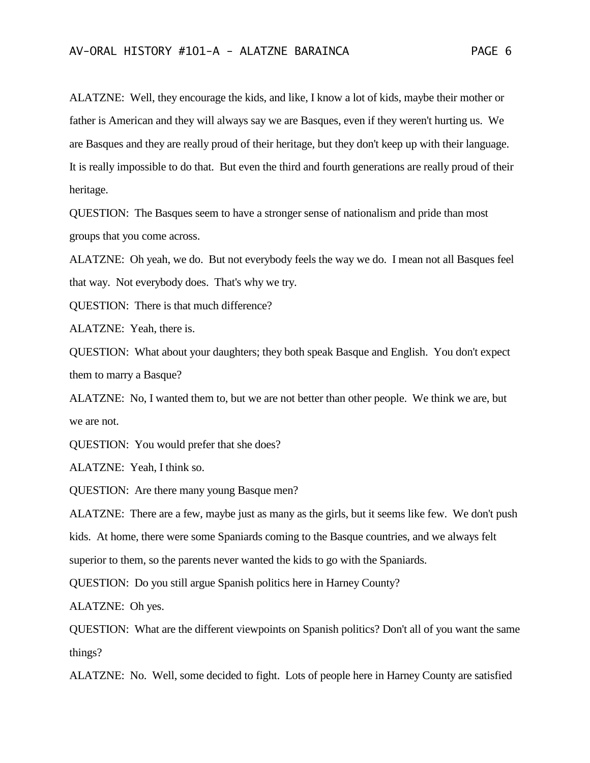ALATZNE: Well, they encourage the kids, and like, I know a lot of kids, maybe their mother or father is American and they will always say we are Basques, even if they weren't hurting us. We are Basques and they are really proud of their heritage, but they don't keep up with their language. It is really impossible to do that. But even the third and fourth generations are really proud of their heritage.

QUESTION: The Basques seem to have a stronger sense of nationalism and pride than most groups that you come across.

ALATZNE: Oh yeah, we do. But not everybody feels the way we do. I mean not all Basques feel that way. Not everybody does. That's why we try.

QUESTION: There is that much difference?

ALATZNE: Yeah, there is.

QUESTION: What about your daughters; they both speak Basque and English. You don't expect them to marry a Basque?

ALATZNE: No, I wanted them to, but we are not better than other people. We think we are, but we are not.

QUESTION: You would prefer that she does?

ALATZNE: Yeah, I think so.

QUESTION: Are there many young Basque men?

ALATZNE: There are a few, maybe just as many as the girls, but it seems like few. We don't push

kids. At home, there were some Spaniards coming to the Basque countries, and we always felt

superior to them, so the parents never wanted the kids to go with the Spaniards.

QUESTION: Do you still argue Spanish politics here in Harney County?

ALATZNE: Oh yes.

QUESTION: What are the different viewpoints on Spanish politics? Don't all of you want the same things?

ALATZNE: No. Well, some decided to fight. Lots of people here in Harney County are satisfied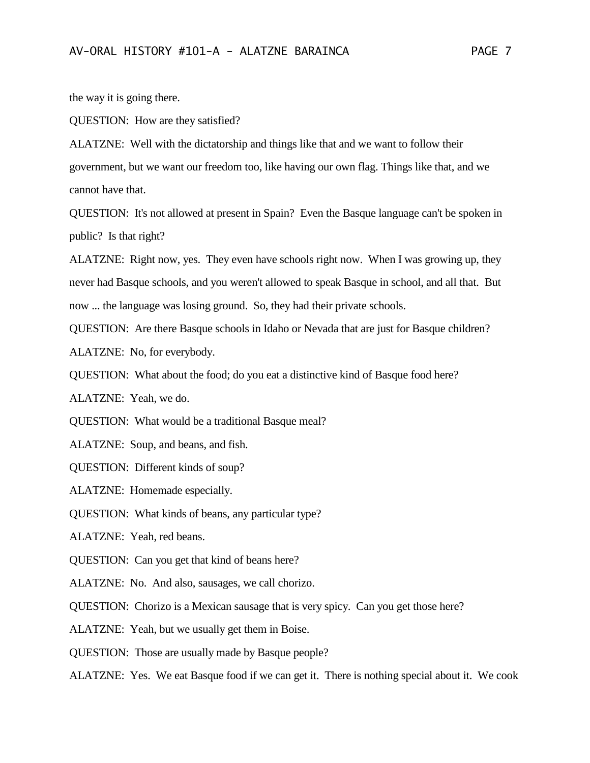the way it is going there.

QUESTION: How are they satisfied?

ALATZNE: Well with the dictatorship and things like that and we want to follow their government, but we want our freedom too, like having our own flag. Things like that, and we cannot have that.

QUESTION: It's not allowed at present in Spain? Even the Basque language can't be spoken in public? Is that right?

ALATZNE: Right now, yes. They even have schools right now. When I was growing up, they never had Basque schools, and you weren't allowed to speak Basque in school, and all that. But now ... the language was losing ground. So, they had their private schools.

QUESTION: Are there Basque schools in Idaho or Nevada that are just for Basque children?

ALATZNE: No, for everybody.

QUESTION: What about the food; do you eat a distinctive kind of Basque food here?

ALATZNE: Yeah, we do.

QUESTION: What would be a traditional Basque meal?

ALATZNE: Soup, and beans, and fish.

QUESTION: Different kinds of soup?

ALATZNE: Homemade especially.

QUESTION: What kinds of beans, any particular type?

ALATZNE: Yeah, red beans.

QUESTION: Can you get that kind of beans here?

ALATZNE: No. And also, sausages, we call chorizo.

QUESTION: Chorizo is a Mexican sausage that is very spicy. Can you get those here?

ALATZNE: Yeah, but we usually get them in Boise.

QUESTION: Those are usually made by Basque people?

ALATZNE: Yes. We eat Basque food if we can get it. There is nothing special about it. We cook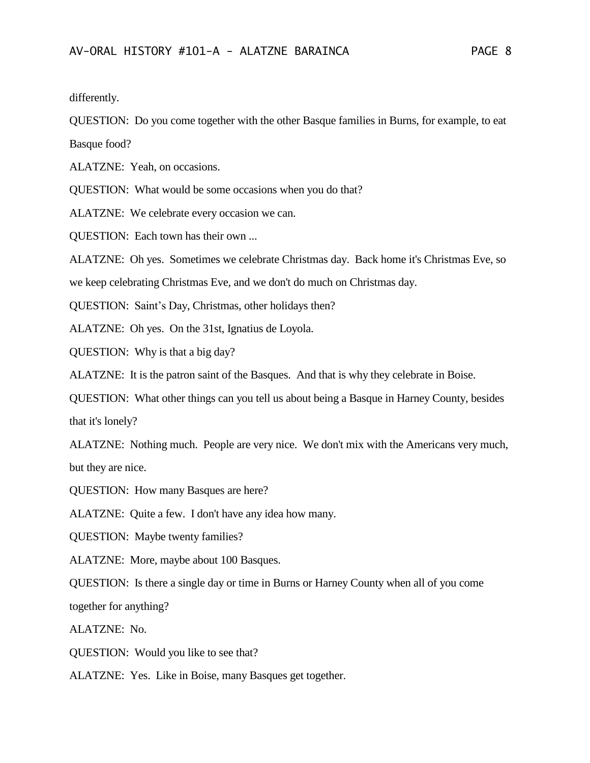differently.

QUESTION: Do you come together with the other Basque families in Burns, for example, to eat Basque food?

ALATZNE: Yeah, on occasions.

QUESTION: What would be some occasions when you do that?

ALATZNE: We celebrate every occasion we can.

QUESTION: Each town has their own ...

ALATZNE: Oh yes. Sometimes we celebrate Christmas day. Back home it's Christmas Eve, so

we keep celebrating Christmas Eve, and we don't do much on Christmas day.

QUESTION: Saint's Day, Christmas, other holidays then?

ALATZNE: Oh yes. On the 31st, Ignatius de Loyola.

QUESTION: Why is that a big day?

ALATZNE: It is the patron saint of the Basques. And that is why they celebrate in Boise.

QUESTION: What other things can you tell us about being a Basque in Harney County, besides that it's lonely?

ALATZNE: Nothing much. People are very nice. We don't mix with the Americans very much, but they are nice.

QUESTION: How many Basques are here?

ALATZNE: Quite a few. I don't have any idea how many.

QUESTION: Maybe twenty families?

ALATZNE: More, maybe about 100 Basques.

QUESTION: Is there a single day or time in Burns or Harney County when all of you come together for anything?

ALATZNE: No.

QUESTION: Would you like to see that?

ALATZNE: Yes. Like in Boise, many Basques get together.